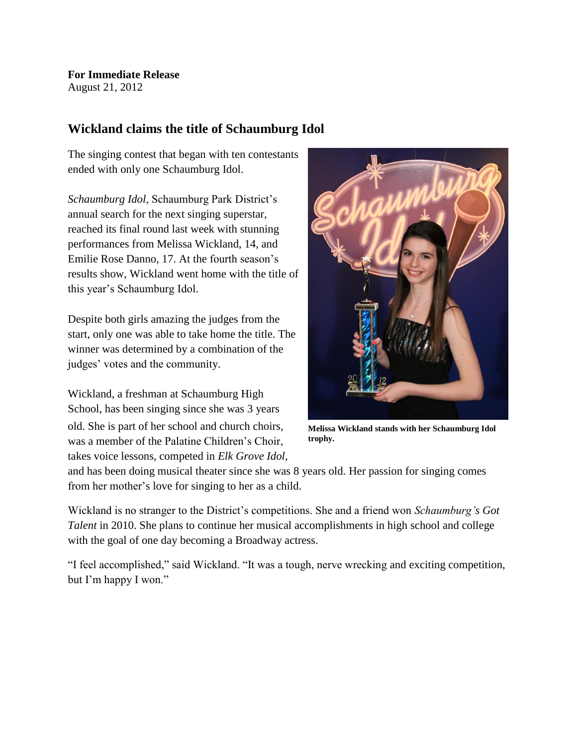**For Immediate Release** August 21, 2012

## **Wickland claims the title of Schaumburg Idol**

The singing contest that began with ten contestants ended with only one Schaumburg Idol.

*Schaumburg Idol*, Schaumburg Park District's annual search for the next singing superstar, reached its final round last week with stunning performances from Melissa Wickland, 14, and Emilie Rose Danno, 17. At the fourth season's results show, Wickland went home with the title of this year's Schaumburg Idol.

Despite both girls amazing the judges from the start, only one was able to take home the title. The winner was determined by a combination of the judges' votes and the community.

Wickland, a freshman at Schaumburg High School, has been singing since she was 3 years old. She is part of her school and church choirs, was a member of the Palatine Children's Choir, takes voice lessons, competed in *Elk Grove Idol*,



**Melissa Wickland stands with her Schaumburg Idol trophy.**

and has been doing musical theater since she was 8 years old. Her passion for singing comes from her mother's love for singing to her as a child.

Wickland is no stranger to the District's competitions. She and a friend won *Schaumburg's Got Talent* in 2010. She plans to continue her musical accomplishments in high school and college with the goal of one day becoming a Broadway actress.

"I feel accomplished," said Wickland. "It was a tough, nerve wrecking and exciting competition, but I'm happy I won."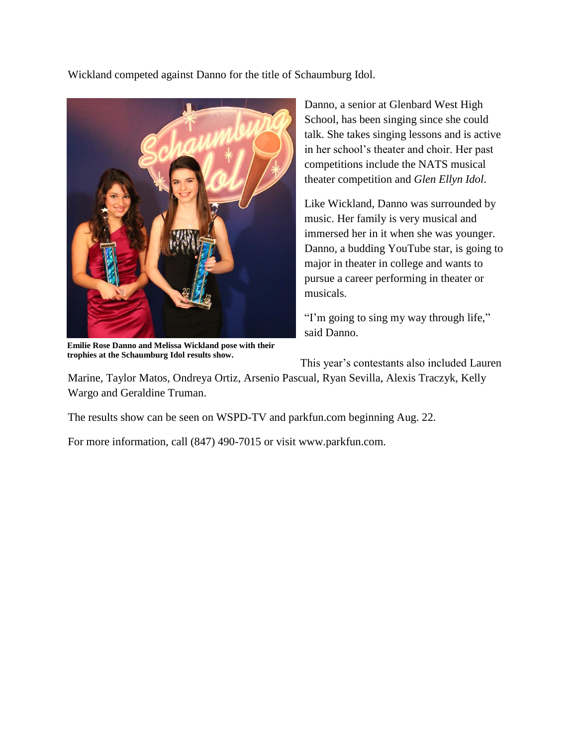Wickland competed against Danno for the title of Schaumburg Idol.



**Emilie Rose Danno and Melissa Wickland pose with their trophies at the Schaumburg Idol results show.**

Danno, a senior at Glenbard West High School, has been singing since she could talk. She takes singing lessons and is active in her school's theater and choir. Her past competitions include the NATS musical theater competition and *Glen Ellyn Idol*.

Like Wickland, Danno was surrounded by music. Her family is very musical and immersed her in it when she was younger. Danno, a budding YouTube star, is going to major in theater in college and wants to pursue a career performing in theater or musicals.

"I'm going to sing my way through life," said Danno.

This year's contestants also included Lauren

Marine, Taylor Matos, Ondreya Ortiz, Arsenio Pascual, Ryan Sevilla, Alexis Traczyk, Kelly Wargo and Geraldine Truman.

The results show can be seen on WSPD-TV and parkfun.com beginning Aug. 22.

For more information, call (847) 490-7015 or visit www.parkfun.com.